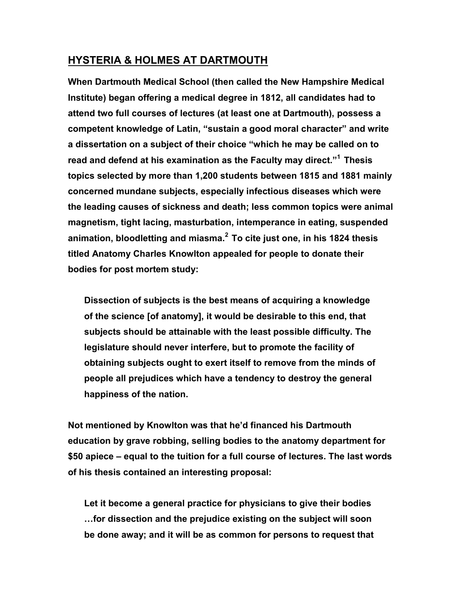## **HYSTERIA & HOLMES AT DARTMOUTH**

**When Dartmouth Medical School (then called the New Hampshire Medical Institute) began offering a medical degree in 1812, all candidates had to attend two full courses of lectures (at least one at Dartmouth), possess a competent knowledge of Latin, "sustain a good moral character" and write a dissertation on a subject of their choice "which he may be called on to read and defend at his examination as the Faculty may direct."<sup>1</sup>Thesis topics selected by more than 1,200 students between 1815 and 1881 mainly concerned mundane subjects, especially infectious diseases which were the leading causes of sickness and death; less common topics were animal magnetism, tight lacing, masturbation, intemperance in eating, suspended animation, bloodletting and miasma.<sup>2</sup>To cite just one, in his 1824 thesis titled Anatomy Charles Knowlton appealed for people to donate their bodies for post mortem study:**

**Dissection of subjects is the best means of acquiring a knowledge of the science [of anatomy], it would be desirable to this end, that subjects should be attainable with the least possible difficulty. The legislature should never interfere, but to promote the facility of obtaining subjects ought to exert itself to remove from the minds of people all prejudices which have a tendency to destroy the general happiness of the nation.**

**Not mentioned by Knowlton was that he'd financed his Dartmouth education by grave robbing, selling bodies to the anatomy department for \$50 apiece – equal to the tuition for a full course of lectures. The last words of his thesis contained an interesting proposal:**

**Let it become a general practice for physicians to give their bodies …for dissection and the prejudice existing on the subject will soon be done away; and it will be as common for persons to request that**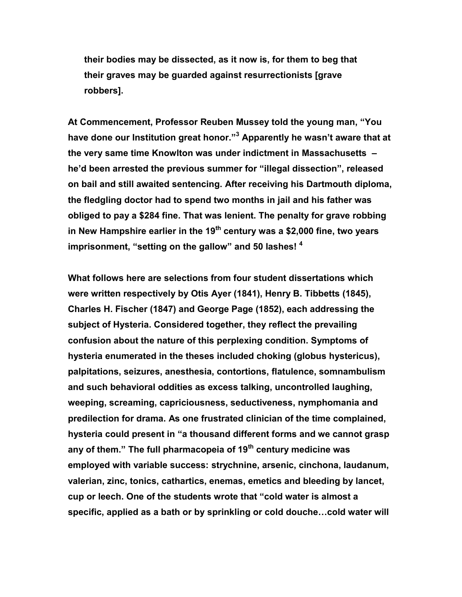**their bodies may be dissected, as it now is, for them to beg that their graves may be guarded against resurrectionists [grave robbers].**

**At Commencement, Professor Reuben Mussey told the young man, "You have done our Institution great honor."<sup>3</sup> Apparently he wasn't aware that at the very same time Knowlton was under indictment in Massachusetts – he'd been arrested the previous summer for "illegal dissection", released on bail and still awaited sentencing. After receiving his Dartmouth diploma, the fledgling doctor had to spend two months in jail and his father was obliged to pay a \$284 fine. That was lenient. The penalty for grave robbing in New Hampshire earlier in the 19th century was a \$2,000 fine, two years imprisonment, "setting on the gallow" and 50 lashes! <sup>4</sup>**

**What follows here are selections from four student dissertations which were written respectively by Otis Ayer (1841), Henry B. Tibbetts (1845), Charles H. Fischer (1847) and George Page (1852), each addressing the subject of Hysteria. Considered together, they reflect the prevailing confusion about the nature of this perplexing condition. Symptoms of hysteria enumerated in the theses included choking (globus hystericus), palpitations, seizures, anesthesia, contortions, flatulence, somnambulism and such behavioral oddities as excess talking, uncontrolled laughing, weeping, screaming, capriciousness, seductiveness, nymphomania and predilection for drama. As one frustrated clinician of the time complained, hysteria could present in "a thousand different forms and we cannot grasp any of them." The full pharmacopeia of 19th century medicine was employed with variable success: strychnine, arsenic, cinchona, laudanum, valerian, zinc, tonics, cathartics, enemas, emetics and bleeding by lancet, cup or leech. One of the students wrote that "cold water is almost a specific, applied as a bath or by sprinkling or cold douche…cold water will**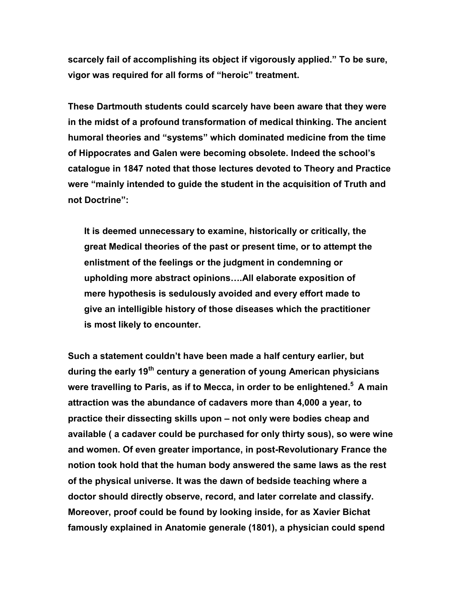**scarcely fail of accomplishing its object if vigorously applied." To be sure, vigor was required for all forms of "heroic" treatment.**

**These Dartmouth students could scarcely have been aware that they were in the midst of a profound transformation of medical thinking. The ancient humoral theories and "systems" which dominated medicine from the time of Hippocrates and Galen were becoming obsolete. Indeed the school's catalogue in 1847 noted that those lectures devoted to Theory and Practice were "mainly intended to guide the student in the acquisition of Truth and not Doctrine":** 

**It is deemed unnecessary to examine, historically or critically, the great Medical theories of the past or present time, or to attempt the enlistment of the feelings or the judgment in condemning or upholding more abstract opinions….All elaborate exposition of mere hypothesis is sedulously avoided and every effort made to give an intelligible history of those diseases which the practitioner is most likely to encounter.**

**Such a statement couldn't have been made a half century earlier, but during the early 19th century a generation of young American physicians were travelling to Paris, as if to Mecca, in order to be enlightened. <sup>5</sup>A main attraction was the abundance of cadavers more than 4,000 a year, to practice their dissecting skills upon – not only were bodies cheap and available ( a cadaver could be purchased for only thirty sous), so were wine and women. Of even greater importance, in post-Revolutionary France the notion took hold that the human body answered the same laws as the rest of the physical universe. It was the dawn of bedside teaching where a doctor should directly observe, record, and later correlate and classify. Moreover, proof could be found by looking inside, for as Xavier Bichat famously explained in Anatomie generale (1801), a physician could spend**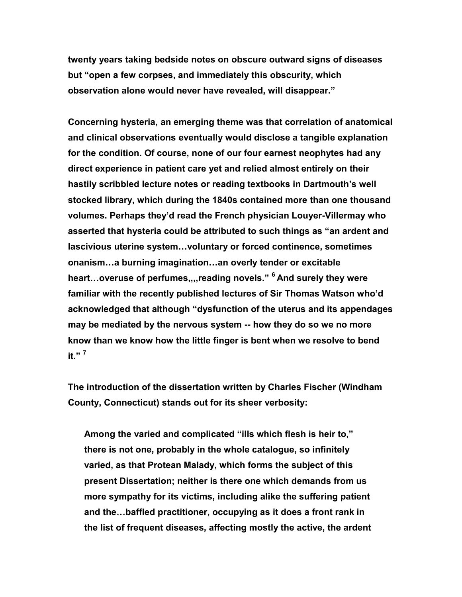**twenty years taking bedside notes on obscure outward signs of diseases but "open a few corpses, and immediately this obscurity, which observation alone would never have revealed, will disappear."** 

**Concerning hysteria, an emerging theme was that correlation of anatomical and clinical observations eventually would disclose a tangible explanation for the condition. Of course, none of our four earnest neophytes had any direct experience in patient care yet and relied almost entirely on their hastily scribbled lecture notes or reading textbooks in Dartmouth's well stocked library, which during the 1840s contained more than one thousand volumes. Perhaps they'd read the French physician Louyer-Villermay who asserted that hysteria could be attributed to such things as "an ardent and lascivious uterine system…voluntary or forced continence, sometimes onanism…a burning imagination…an overly tender or excitable heart…overuse of perfumes,,,,reading novels." <sup>6</sup> And surely they were familiar with the recently published lectures of Sir Thomas Watson who'd acknowledged that although "dysfunction of the uterus and its appendages may be mediated by the nervous system -- how they do so we no more know than we know how the little finger is bent when we resolve to bend it." <sup>7</sup>**

**The introduction of the dissertation written by Charles Fischer (Windham County, Connecticut) stands out for its sheer verbosity:**

**Among the varied and complicated "ills which flesh is heir to," there is not one, probably in the whole catalogue, so infinitely varied, as that Protean Malady, which forms the subject of this present Dissertation; neither is there one which demands from us more sympathy for its victims, including alike the suffering patient and the…baffled practitioner, occupying as it does a front rank in the list of frequent diseases, affecting mostly the active, the ardent**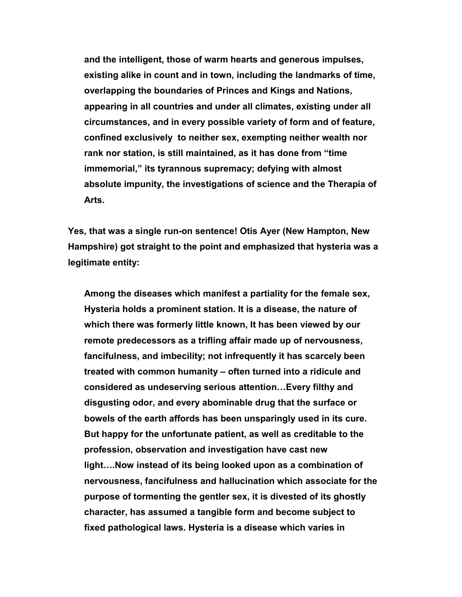**and the intelligent, those of warm hearts and generous impulses, existing alike in count and in town, including the landmarks of time, overlapping the boundaries of Princes and Kings and Nations, appearing in all countries and under all climates, existing under all circumstances, and in every possible variety of form and of feature, confined exclusively to neither sex, exempting neither wealth nor rank nor station, is still maintained, as it has done from "time immemorial," its tyrannous supremacy; defying with almost absolute impunity, the investigations of science and the Therapia of Arts.**

**Yes, that was a single run-on sentence! Otis Ayer (New Hampton, New Hampshire) got straight to the point and emphasized that hysteria was a legitimate entity:**

**Among the diseases which manifest a partiality for the female sex, Hysteria holds a prominent station. It is a disease, the nature of which there was formerly little known, It has been viewed by our remote predecessors as a trifling affair made up of nervousness, fancifulness, and imbecility; not infrequently it has scarcely been treated with common humanity – often turned into a ridicule and considered as undeserving serious attention…Every filthy and disgusting odor, and every abominable drug that the surface or bowels of the earth affords has been unsparingly used in its cure. But happy for the unfortunate patient, as well as creditable to the profession, observation and investigation have cast new light….Now instead of its being looked upon as a combination of nervousness, fancifulness and hallucination which associate for the purpose of tormenting the gentler sex, it is divested of its ghostly character, has assumed a tangible form and become subject to fixed pathological laws. Hysteria is a disease which varies in**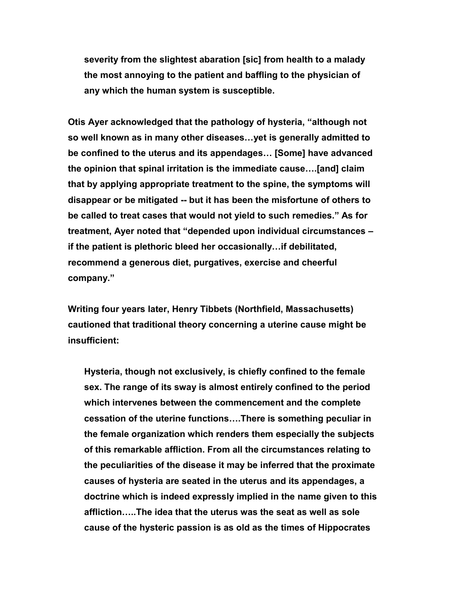**severity from the slightest abaration [sic] from health to a malady the most annoying to the patient and baffling to the physician of any which the human system is susceptible.**

**Otis Ayer acknowledged that the pathology of hysteria, "although not so well known as in many other diseases…yet is generally admitted to be confined to the uterus and its appendages… [Some] have advanced the opinion that spinal irritation is the immediate cause….[and] claim that by applying appropriate treatment to the spine, the symptoms will disappear or be mitigated -- but it has been the misfortune of others to be called to treat cases that would not yield to such remedies." As for treatment, Ayer noted that "depended upon individual circumstances – if the patient is plethoric bleed her occasionally…if debilitated, recommend a generous diet, purgatives, exercise and cheerful company."**

**Writing four years later, Henry Tibbets (Northfield, Massachusetts) cautioned that traditional theory concerning a uterine cause might be insufficient:**

**Hysteria, though not exclusively, is chiefly confined to the female sex. The range of its sway is almost entirely confined to the period which intervenes between the commencement and the complete cessation of the uterine functions….There is something peculiar in the female organization which renders them especially the subjects of this remarkable affliction. From all the circumstances relating to the peculiarities of the disease it may be inferred that the proximate causes of hysteria are seated in the uterus and its appendages, a doctrine which is indeed expressly implied in the name given to this affliction…..The idea that the uterus was the seat as well as sole cause of the hysteric passion is as old as the times of Hippocrates**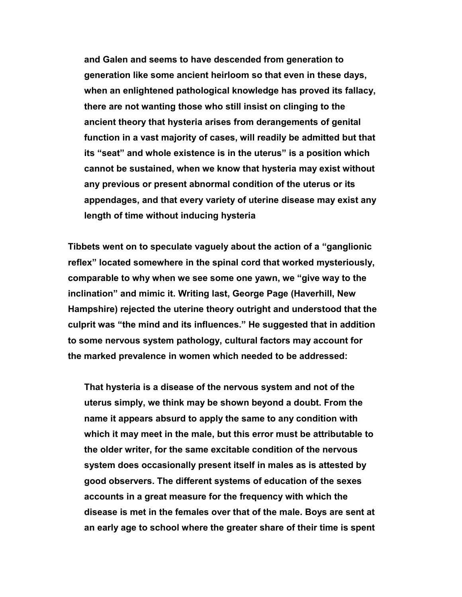**and Galen and seems to have descended from generation to generation like some ancient heirloom so that even in these days, when an enlightened pathological knowledge has proved its fallacy, there are not wanting those who still insist on clinging to the ancient theory that hysteria arises from derangements of genital function in a vast majority of cases, will readily be admitted but that its "seat" and whole existence is in the uterus" is a position which cannot be sustained, when we know that hysteria may exist without any previous or present abnormal condition of the uterus or its appendages, and that every variety of uterine disease may exist any length of time without inducing hysteria**

**Tibbets went on to speculate vaguely about the action of a "ganglionic reflex" located somewhere in the spinal cord that worked mysteriously, comparable to why when we see some one yawn, we "give way to the inclination" and mimic it. Writing last, George Page (Haverhill, New Hampshire) rejected the uterine theory outright and understood that the culprit was "the mind and its influences." He suggested that in addition to some nervous system pathology, cultural factors may account for the marked prevalence in women which needed to be addressed:**

**That hysteria is a disease of the nervous system and not of the uterus simply, we think may be shown beyond a doubt. From the name it appears absurd to apply the same to any condition with which it may meet in the male, but this error must be attributable to the older writer, for the same excitable condition of the nervous system does occasionally present itself in males as is attested by good observers. The different systems of education of the sexes accounts in a great measure for the frequency with which the disease is met in the females over that of the male. Boys are sent at an early age to school where the greater share of their time is spent**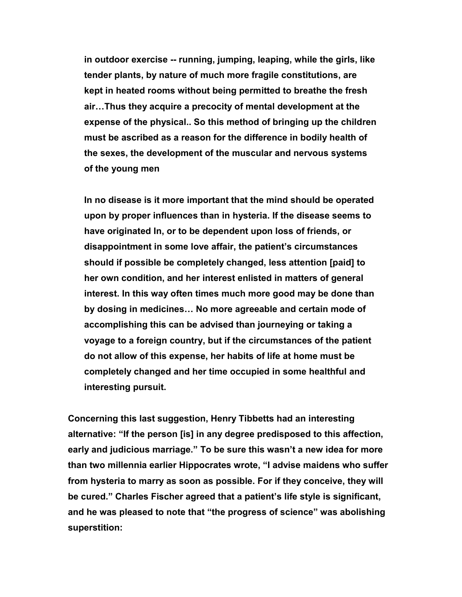**in outdoor exercise -- running, jumping, leaping, while the girls, like tender plants, by nature of much more fragile constitutions, are kept in heated rooms without being permitted to breathe the fresh air…Thus they acquire a precocity of mental development at the expense of the physical.. So this method of bringing up the children must be ascribed as a reason for the difference in bodily health of the sexes, the development of the muscular and nervous systems of the young men** 

**In no disease is it more important that the mind should be operated upon by proper influences than in hysteria. If the disease seems to have originated In, or to be dependent upon loss of friends, or disappointment in some love affair, the patient's circumstances should if possible be completely changed, less attention [paid] to her own condition, and her interest enlisted in matters of general interest. In this way often times much more good may be done than by dosing in medicines… No more agreeable and certain mode of accomplishing this can be advised than journeying or taking a voyage to a foreign country, but if the circumstances of the patient do not allow of this expense, her habits of life at home must be completely changed and her time occupied in some healthful and interesting pursuit.** 

**Concerning this last suggestion, Henry Tibbetts had an interesting alternative: "If the person [is] in any degree predisposed to this affection, early and judicious marriage." To be sure this wasn't a new idea for more than two millennia earlier Hippocrates wrote, "I advise maidens who suffer from hysteria to marry as soon as possible. For if they conceive, they will be cured." Charles Fischer agreed that a patient's life style is significant, and he was pleased to note that "the progress of science" was abolishing superstition:**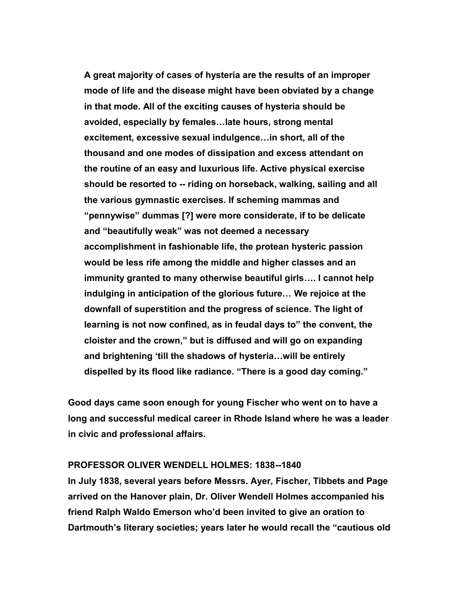**A great majority of cases of hysteria are the results of an improper mode of life and the disease might have been obviated by a change in that mode. All of the exciting causes of hysteria should be avoided, especially by females…late hours, strong mental excitement, excessive sexual indulgence…in short, all of the thousand and one modes of dissipation and excess attendant on the routine of an easy and luxurious life. Active physical exercise should be resorted to -- riding on horseback, walking, sailing and all the various gymnastic exercises. If scheming mammas and "pennywise" dummas [?] were more considerate, if to be delicate and "beautifully weak" was not deemed a necessary accomplishment in fashionable life, the protean hysteric passion would be less rife among the middle and higher classes and an immunity granted to many otherwise beautiful girls…. I cannot help indulging in anticipation of the glorious future… We rejoice at the downfall of superstition and the progress of science. The light of learning is not now confined, as in feudal days to" the convent, the cloister and the crown," but is diffused and will go on expanding and brightening 'till the shadows of hysteria…will be entirely dispelled by its flood like radiance. "There is a good day coming."**

**Good days came soon enough for young Fischer who went on to have a long and successful medical career in Rhode Island where he was a leader in civic and professional affairs.**

## **PROFESSOR OLIVER WENDELL HOLMES: 1838--1840**

**In July 1838, several years before Messrs. Ayer, Fischer, Tibbets and Page arrived on the Hanover plain, Dr. Oliver Wendell Holmes accompanied his friend Ralph Waldo Emerson who'd been invited to give an oration to Dartmouth's literary societies; years later he would recall the "cautious old**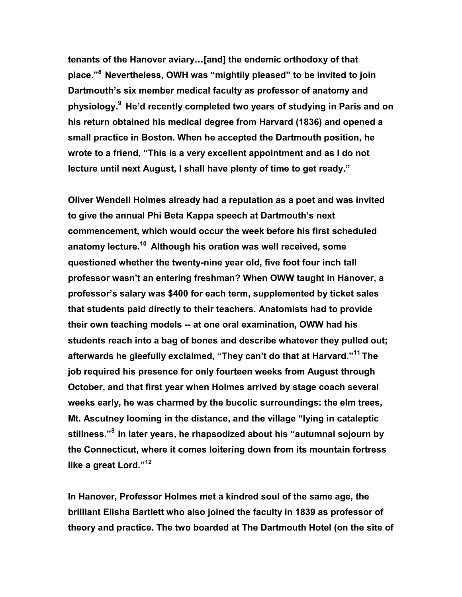**tenants of the Hanover aviary…[and] the endemic orthodoxy of that place."<sup>8</sup>Nevertheless, OWH was "mightily pleased" to be invited to join Dartmouth's six member medical faculty as professor of anatomy and physiology. <sup>9</sup>He'd recently completed two years of studying in Paris and on his return obtained his medical degree from Harvard (1836) and opened a small practice in Boston. When he accepted the Dartmouth position, he wrote to a friend, "This is a very excellent appointment and as I do not lecture until next August, I shall have plenty of time to get ready."** 

**Oliver Wendell Holmes already had a reputation as a poet and was invited to give the annual Phi Beta Kappa speech at Dartmouth's next commencement, which would occur the week before his first scheduled anatomy lecture.<sup>10</sup>Although his oration was well received, some questioned whether the twenty-nine year old, five foot four inch tall professor wasn't an entering freshman? When OWW taught in Hanover, a professor's salary was \$400 for each term, supplemented by ticket sales that students paid directly to their teachers. Anatomists had to provide their own teaching models -- at one oral examination, OWW had his students reach into a bag of bones and describe whatever they pulled out; afterwards he gleefully exclaimed, "They can't do that at Harvard."<sup>11</sup>The job required his presence for only fourteen weeks from August through October, and that first year when Holmes arrived by stage coach several weeks early, he was charmed by the bucolic surroundings: the elm trees, Mt. Ascutney looming in the distance, and the village "lying in cataleptic stillness."<sup>8</sup>In later years, he rhapsodized about his "autumnal sojourn by the Connecticut, where it comes loitering down from its mountain fortress like a great Lord."<sup>12</sup>**

**In Hanover, Professor Holmes met a kindred soul of the same age, the brilliant Elisha Bartlett who also joined the faculty in 1839 as professor of theory and practice. The two boarded at The Dartmouth Hotel (on the site of**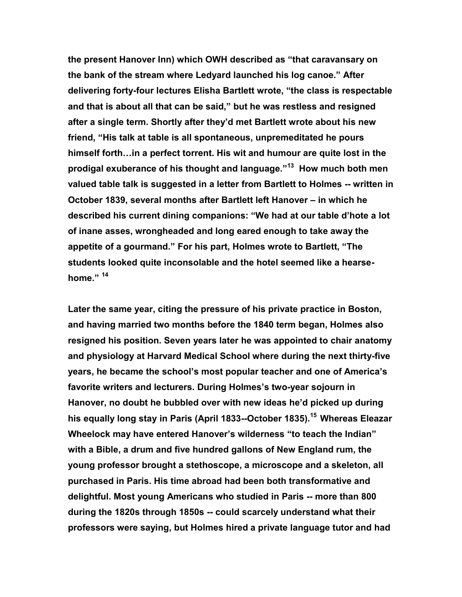**the present Hanover Inn) which OWH described as "that caravansary on the bank of the stream where Ledyard launched his log canoe." After delivering forty-four lectures Elisha Bartlett wrote, "the class is respectable and that is about all that can be said," but he was restless and resigned after a single term. Shortly after they'd met Bartlett wrote about his new friend, "His talk at table is all spontaneous, unpremeditated he pours himself forth…in a perfect torrent. His wit and humour are quite lost in the prodigal exuberance of his thought and language."<sup>13</sup>How much both men valued table talk is suggested in a letter from Bartlett to Holmes -- written in October 1839, several months after Bartlett left Hanover – in which he described his current dining companions: "We had at our table d'hote a lot of inane asses, wrongheaded and long eared enough to take away the appetite of a gourmand." For his part, Holmes wrote to Bartlett, "The students looked quite inconsolable and the hotel seemed like a hearsehome." <sup>14</sup>**

**Later the same year, citing the pressure of his private practice in Boston, and having married two months before the 1840 term began, Holmes also resigned his position. Seven years later he was appointed to chair anatomy and physiology at Harvard Medical School where during the next thirty-five years, he became the school's most popular teacher and one of America's favorite writers and lecturers. During Holmes's two-year sojourn in Hanover, no doubt he bubbled over with new ideas he'd picked up during his equally long stay in Paris (April 1833--October 1835).<sup>15</sup>Whereas Eleazar Wheelock may have entered Hanover's wilderness "to teach the Indian" with a Bible, a drum and five hundred gallons of New England rum, the young professor brought a stethoscope, a microscope and a skeleton, all purchased in Paris. His time abroad had been both transformative and delightful. Most young Americans who studied in Paris -- more than 800 during the 1820s through 1850s -- could scarcely understand what their professors were saying, but Holmes hired a private language tutor and had**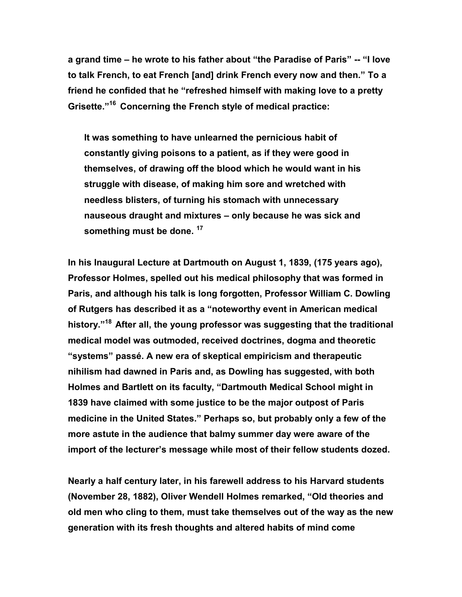**a grand time – he wrote to his father about "the Paradise of Paris" -- "I love to talk French, to eat French [and] drink French every now and then." To a friend he confided that he "refreshed himself with making love to a pretty Grisette."<sup>16</sup>Concerning the French style of medical practice:**

**It was something to have unlearned the pernicious habit of constantly giving poisons to a patient, as if they were good in themselves, of drawing off the blood which he would want in his struggle with disease, of making him sore and wretched with needless blisters, of turning his stomach with unnecessary nauseous draught and mixtures – only because he was sick and something must be done. <sup>17</sup>**

**In his Inaugural Lecture at Dartmouth on August 1, 1839, (175 years ago), Professor Holmes, spelled out his medical philosophy that was formed in Paris, and although his talk is long forgotten, Professor William C. Dowling of Rutgers has described it as a "noteworthy event in American medical history."<sup>18</sup> After all, the young professor was suggesting that the traditional medical model was outmoded, received doctrines, dogma and theoretic "systems" passé. A new era of skeptical empiricism and therapeutic nihilism had dawned in Paris and, as Dowling has suggested, with both Holmes and Bartlett on its faculty, "Dartmouth Medical School might in 1839 have claimed with some justice to be the major outpost of Paris medicine in the United States." Perhaps so, but probably only a few of the more astute in the audience that balmy summer day were aware of the import of the lecturer's message while most of their fellow students dozed.**

**Nearly a half century later, in his farewell address to his Harvard students (November 28, 1882), Oliver Wendell Holmes remarked, "Old theories and old men who cling to them, must take themselves out of the way as the new generation with its fresh thoughts and altered habits of mind come**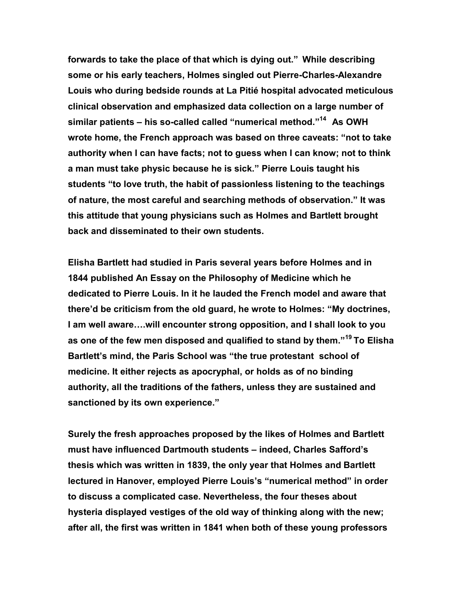**forwards to take the place of that which is dying out." While describing some or his early teachers, Holmes singled out Pierre-Charles-Alexandre Louis who during bedside rounds at La Pitié hospital advocated meticulous clinical observation and emphasized data collection on a large number of similar patients – his so-called called "numerical method."<sup>14</sup>As OWH wrote home, the French approach was based on three caveats: "not to take authority when I can have facts; not to guess when I can know; not to think a man must take physic because he is sick." Pierre Louis taught his students "to love truth, the habit of passionless listening to the teachings of nature, the most careful and searching methods of observation." It was this attitude that young physicians such as Holmes and Bartlett brought back and disseminated to their own students.**

**Elisha Bartlett had studied in Paris several years before Holmes and in 1844 published An Essay on the Philosophy of Medicine which he dedicated to Pierre Louis. In it he lauded the French model and aware that there'd be criticism from the old guard, he wrote to Holmes: "My doctrines, I am well aware….will encounter strong opposition, and I shall look to you as one of the few men disposed and qualified to stand by them."<sup>19</sup>To Elisha Bartlett's mind, the Paris School was "the true protestant school of medicine. It either rejects as apocryphal, or holds as of no binding authority, all the traditions of the fathers, unless they are sustained and sanctioned by its own experience."** 

**Surely the fresh approaches proposed by the likes of Holmes and Bartlett must have influenced Dartmouth students – indeed, Charles Safford's thesis which was written in 1839, the only year that Holmes and Bartlett lectured in Hanover, employed Pierre Louis's "numerical method" in order to discuss a complicated case. Nevertheless, the four theses about hysteria displayed vestiges of the old way of thinking along with the new; after all, the first was written in 1841 when both of these young professors**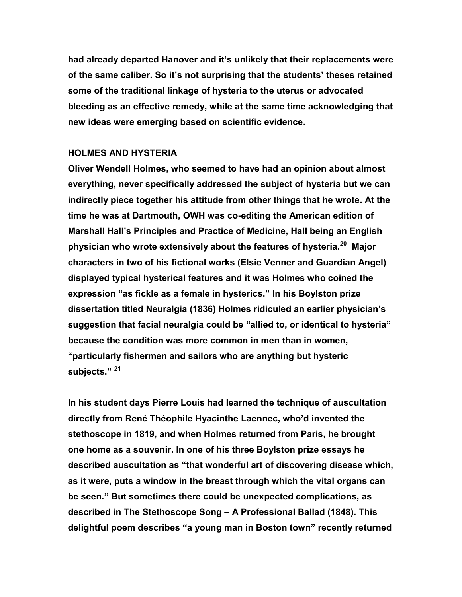**had already departed Hanover and it's unlikely that their replacements were of the same caliber. So it's not surprising that the students' theses retained some of the traditional linkage of hysteria to the uterus or advocated bleeding as an effective remedy, while at the same time acknowledging that new ideas were emerging based on scientific evidence.** 

## **HOLMES AND HYSTERIA**

**Oliver Wendell Holmes, who seemed to have had an opinion about almost everything, never specifically addressed the subject of hysteria but we can indirectly piece together his attitude from other things that he wrote. At the time he was at Dartmouth, OWH was co-editing the American edition of Marshall Hall's Principles and Practice of Medicine, Hall being an English physician who wrote extensively about the features of hysteria.<sup>20</sup> Major characters in two of his fictional works (Elsie Venner and Guardian Angel) displayed typical hysterical features and it was Holmes who coined the expression "as fickle as a female in hysterics." In his Boylston prize dissertation titled Neuralgia (1836) Holmes ridiculed an earlier physician's suggestion that facial neuralgia could be "allied to, or identical to hysteria" because the condition was more common in men than in women, "particularly fishermen and sailors who are anything but hysteric subjects." <sup>21</sup>**

**In his student days Pierre Louis had learned the technique of auscultation directly from René Théophile Hyacinthe Laennec, who'd invented the stethoscope in 1819, and when Holmes returned from Paris, he brought one home as a souvenir. In one of his three Boylston prize essays he described auscultation as "that wonderful art of discovering disease which, as it were, puts a window in the breast through which the vital organs can be seen." But sometimes there could be unexpected complications, as described in The Stethoscope Song – A Professional Ballad (1848). This delightful poem describes "a young man in Boston town" recently returned**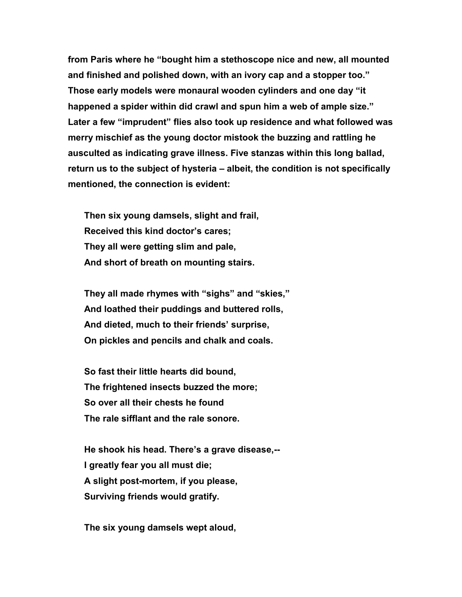**from Paris where he "bought him a stethoscope nice and new, all mounted and finished and polished down, with an ivory cap and a stopper too." Those early models were monaural wooden cylinders and one day "it happened a spider within did crawl and spun him a web of ample size." Later a few "imprudent" flies also took up residence and what followed was merry mischief as the young doctor mistook the buzzing and rattling he ausculted as indicating grave illness. Five stanzas within this long ballad, return us to the subject of hysteria – albeit, the condition is not specifically mentioned, the connection is evident:**

**Then six young damsels, slight and frail, Received this kind doctor's cares; They all were getting slim and pale, And short of breath on mounting stairs.**

**They all made rhymes with "sighs" and "skies," And loathed their puddings and buttered rolls, And dieted, much to their friends' surprise, On pickles and pencils and chalk and coals.**

**So fast their little hearts did bound, The frightened insects buzzed the more; So over all their chests he found The rale sifflant and the rale sonore.**

**He shook his head. There's a grave disease,-- I greatly fear you all must die; A slight post-mortem, if you please, Surviving friends would gratify.**

**The six young damsels wept aloud,**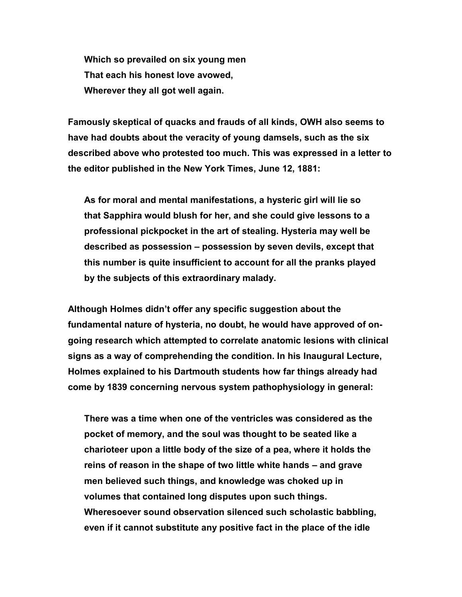**Which so prevailed on six young men That each his honest love avowed, Wherever they all got well again.**

**Famously skeptical of quacks and frauds of all kinds, OWH also seems to have had doubts about the veracity of young damsels, such as the six described above who protested too much. This was expressed in a letter to the editor published in the New York Times, June 12, 1881:**

**As for moral and mental manifestations, a hysteric girl will lie so that Sapphira would blush for her, and she could give lessons to a professional pickpocket in the art of stealing. Hysteria may well be described as possession – possession by seven devils, except that this number is quite insufficient to account for all the pranks played by the subjects of this extraordinary malady.**

**Although Holmes didn't offer any specific suggestion about the fundamental nature of hysteria, no doubt, he would have approved of ongoing research which attempted to correlate anatomic lesions with clinical signs as a way of comprehending the condition. In his Inaugural Lecture, Holmes explained to his Dartmouth students how far things already had come by 1839 concerning nervous system pathophysiology in general:**

**There was a time when one of the ventricles was considered as the pocket of memory, and the soul was thought to be seated like a charioteer upon a little body of the size of a pea, where it holds the reins of reason in the shape of two little white hands – and grave men believed such things, and knowledge was choked up in volumes that contained long disputes upon such things. Wheresoever sound observation silenced such scholastic babbling, even if it cannot substitute any positive fact in the place of the idle**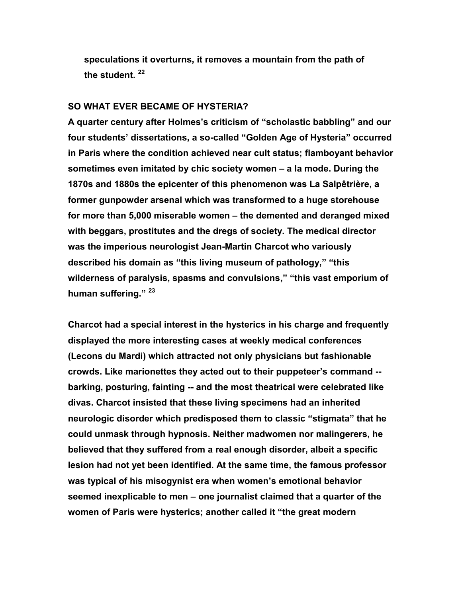**speculations it overturns, it removes a mountain from the path of the student. <sup>22</sup>**

## **SO WHAT EVER BECAME OF HYSTERIA?**

**A quarter century after Holmes's criticism of "scholastic babbling" and our four students' dissertations, a so-called "Golden Age of Hysteria" occurred in Paris where the condition achieved near cult status; flamboyant behavior sometimes even imitated by chic society women – a la mode. During the 1870s and 1880s the epicenter of this phenomenon was La Salpêtrière, a former gunpowder arsenal which was transformed to a huge storehouse for more than 5,000 miserable women – the demented and deranged mixed with beggars, prostitutes and the dregs of society. The medical director was the imperious neurologist Jean-Martin Charcot who variously described his domain as "this living museum of pathology," "this wilderness of paralysis, spasms and convulsions," "this vast emporium of human suffering." <sup>23</sup>**

**Charcot had a special interest in the hysterics in his charge and frequently displayed the more interesting cases at weekly medical conferences (Lecons du Mardi) which attracted not only physicians but fashionable crowds. Like marionettes they acted out to their puppeteer's command - barking, posturing, fainting -- and the most theatrical were celebrated like divas. Charcot insisted that these living specimens had an inherited neurologic disorder which predisposed them to classic "stigmata" that he could unmask through hypnosis. Neither madwomen nor malingerers, he believed that they suffered from a real enough disorder, albeit a specific lesion had not yet been identified. At the same time, the famous professor was typical of his misogynist era when women's emotional behavior seemed inexplicable to men – one journalist claimed that a quarter of the women of Paris were hysterics; another called it "the great modern**